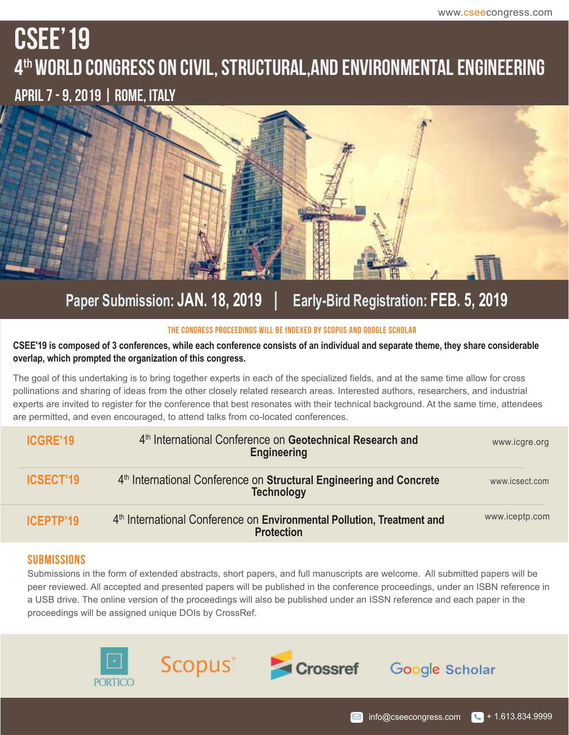# **CSEE'19 4thWorld Congress on Civil, structural,and environmental engineering APRIL 7 - 9, 2019 | ROME, ITALY**



# **Paper Submission: JAN. 18, 2019 | Early-Bird Registration: FEB. 5, 2019**

#### **The congress proceedings will be indexed by Scopus and Google SCHOLAR**

#### **CSEE'19 is composed of 3 conferences, while each conference consists of an individual and separate theme, they share considerable overlap, which prompted the organization of this congress.**

The goal of this undertaking is to bring together experts in each of the specialized fields, and at the same time allow for cross pollinations and sharing of ideas from the other closely related research areas. Interested authors, researchers, and industrial experts are invited to register for the conference that best resonates with their technical background. At the same time, attendees are permitted, and even encouraged, to attend talks from co-located conferences.

| <b>ICGRE'19</b>  | 4 <sup>th</sup> International Conference on Geotechnical Research and<br><b>Engineering</b>             | www.icgre.org  |
|------------------|---------------------------------------------------------------------------------------------------------|----------------|
| <b>ICSECT'19</b> | 4 <sup>th</sup> International Conference on Structural Engineering and Concrete<br><b>Technology</b>    | www.icsect.com |
| ICEPTP'19        | 4 <sup>th</sup> International Conference on Environmental Pollution, Treatment and<br><b>Protection</b> | www.iceptp.com |

#### **SUBMISSIONS**

Submissions in the form of extended abstracts, short papers, and full manuscripts are welcome. All submitted papers will be peer reviewed. All accepted and presented papers will be published in the conference proceedings, under an ISBN reference in a USB drive. The online version of the proceedings will also be published under an ISSN reference and each paper in the proceedings will be assigned unique DOIs by CrossRef.